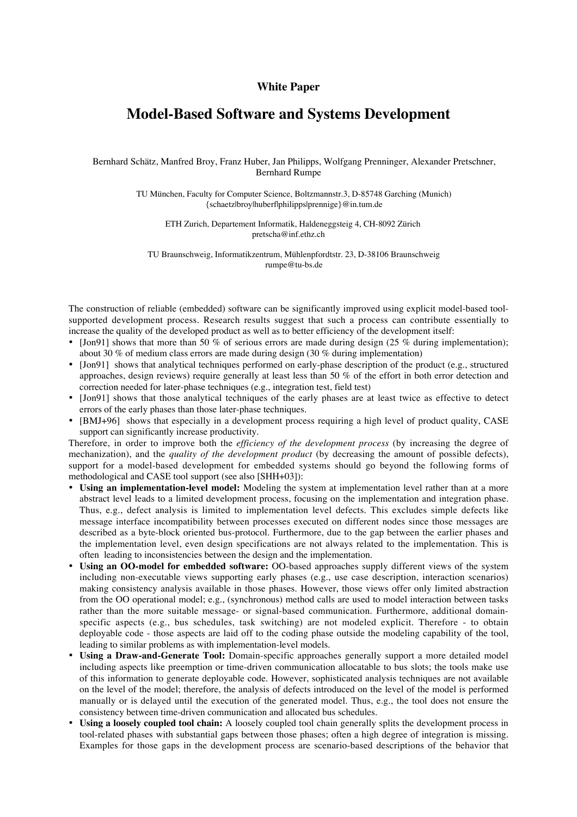## **White Paper**

## **Model-Based Software and Systems Development**

Bernhard Schätz, Manfred Broy, Franz Huber, Jan Philipps, Wolfgang Prenninger, Alexander Pretschner, Bernhard Rumpe

> TU München, Faculty for Computer Science, Boltzmannstr.3, D-85748 Garching (Munich) {schaetz|broy|huberf|philipps|prennige}@in.tum.de

ETH Zurich, Departement Informatik, Haldeneggsteig 4, CH-8092 Zürich pretscha@inf.ethz.ch

TU Braunschweig, Informatikzentrum, Mühlenpfordtstr. 23, D-38106 Braunschweig rumpe@tu-bs.de

The construction of reliable (embedded) software can be significantly improved using explicit model-based toolsupported development process. Research results suggest that such a process can contribute essentially to increase the quality of the developed product as well as to better efficiency of the development itself:

- [Jon91] shows that more than 50 % of serious errors are made during design  $(25 \%$  during implementation); about 30 % of medium class errors are made during design (30 % during implementation)
- [Jon91] shows that analytical techniques performed on early-phase description of the product (e.g., structured approaches, design reviews) require generally at least less than 50 % of the effort in both error detection and correction needed for later-phase techniques (e.g., integration test, field test)
- [Jon91] shows that those analytical techniques of the early phases are at least twice as effective to detect errors of the early phases than those later-phase techniques.
- [BMJ+96] shows that especially in a development process requiring a high level of product quality, CASE support can significantly increase productivity.

Therefore, in order to improve both the *efficiency of the development process* (by increasing the degree of mechanization), and the *quality of the development product* (by decreasing the amount of possible defects), support for a model-based development for embedded systems should go beyond the following forms of methodological and CASE tool support (see also [SHH+03]):

- **Using an implementation-level model:** Modeling the system at implementation level rather than at a more abstract level leads to a limited development process, focusing on the implementation and integration phase. Thus, e.g., defect analysis is limited to implementation level defects. This excludes simple defects like message interface incompatibility between processes executed on different nodes since those messages are described as a byte-block oriented bus-protocol. Furthermore, due to the gap between the earlier phases and the implementation level, even design specifications are not always related to the implementation. This is often leading to inconsistencies between the design and the implementation.
- **Using an OO-model for embedded software:** OO-based approaches supply different views of the system including non-executable views supporting early phases (e.g., use case description, interaction scenarios) making consistency analysis available in those phases. However, those views offer only limited abstraction from the OO operational model; e.g., (synchronous) method calls are used to model interaction between tasks rather than the more suitable message- or signal-based communication. Furthermore, additional domainspecific aspects (e.g., bus schedules, task switching) are not modeled explicit. Therefore - to obtain deployable code - those aspects are laid off to the coding phase outside the modeling capability of the tool, leading to similar problems as with implementation-level models.
- **Using a Draw-and-Generate Tool:** Domain-specific approaches generally support a more detailed model including aspects like preemption or time-driven communication allocatable to bus slots; the tools make use of this information to generate deployable code. However, sophisticated analysis techniques are not available on the level of the model; therefore, the analysis of defects introduced on the level of the model is performed manually or is delayed until the execution of the generated model. Thus, e.g., the tool does not ensure the consistency between time-driven communication and allocated bus schedules.
- **Using a loosely coupled tool chain:** A loosely coupled tool chain generally splits the development process in tool-related phases with substantial gaps between those phases; often a high degree of integration is missing. Examples for those gaps in the development process are scenario-based descriptions of the behavior that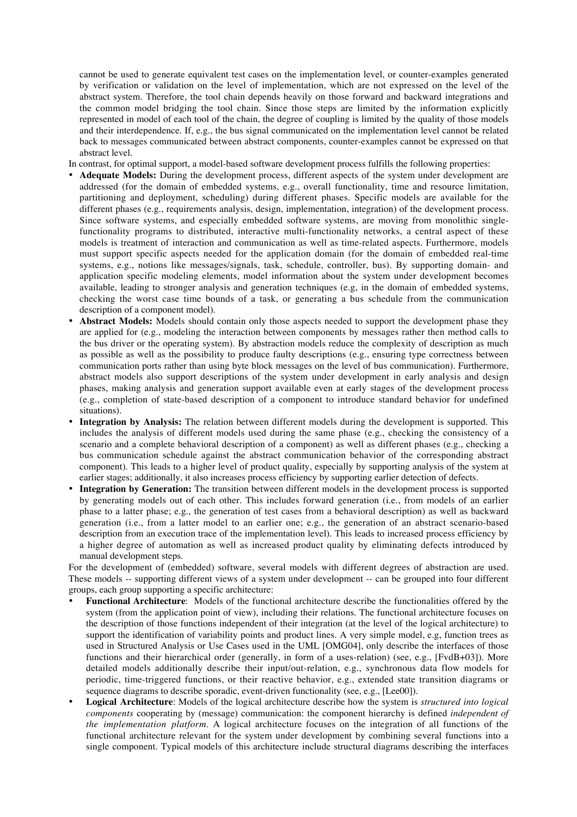cannot be used to generate equivalent test cases on the implementation level, or counter-examples generated by verification or validation on the level of implementation, which are not expressed on the level of the abstract system. Therefore, the tool chain depends heavily on those forward and backward integrations and the common model bridging the tool chain. Since those steps are limited by the information explicitly represented in model of each tool of the chain, the degree of coupling is limited by the quality of those models and their interdependence. If, e.g., the bus signal communicated on the implementation level cannot be related back to messages communicated between abstract components, counter-examples cannot be expressed on that abstract level.

- In contrast, for optimal support, a model-based software development process fulfills the following properties:
- Adequate Models: During the development process, different aspects of the system under development are addressed (for the domain of embedded systems, e.g., overall functionality, time and resource limitation, partitioning and deployment, scheduling) during different phases. Specific models are available for the different phases (e.g., requirements analysis, design, implementation, integration) of the development process. Since software systems, and especially embedded software systems, are moving from monolithic singlefunctionality programs to distributed, interactive multi-functionality networks, a central aspect of these models is treatment of interaction and communication as well as time-related aspects. Furthermore, models must support specific aspects needed for the application domain (for the domain of embedded real-time systems, e.g., notions like messages/signals, task, schedule, controller, bus). By supporting domain- and application specific modeling elements, model information about the system under development becomes available, leading to stronger analysis and generation techniques (e.g, in the domain of embedded systems, checking the worst case time bounds of a task, or generating a bus schedule from the communication description of a component model).
- **Abstract Models:** Models should contain only those aspects needed to support the development phase they are applied for (e.g., modeling the interaction between components by messages rather then method calls to the bus driver or the operating system). By abstraction models reduce the complexity of description as much as possible as well as the possibility to produce faulty descriptions (e.g., ensuring type correctness between communication ports rather than using byte block messages on the level of bus communication). Furthermore, abstract models also support descriptions of the system under development in early analysis and design phases, making analysis and generation support available even at early stages of the development process (e.g., completion of state-based description of a component to introduce standard behavior for undefined situations).
- **Integration by Analysis:** The relation between different models during the development is supported. This includes the analysis of different models used during the same phase (e.g., checking the consistency of a scenario and a complete behavioral description of a component) as well as different phases (e.g., checking a bus communication schedule against the abstract communication behavior of the corresponding abstract component). This leads to a higher level of product quality, especially by supporting analysis of the system at earlier stages; additionally, it also increases process efficiency by supporting earlier detection of defects.
- **Integration by Generation:** The transition between different models in the development process is supported by generating models out of each other. This includes forward generation (i.e., from models of an earlier phase to a latter phase; e.g., the generation of test cases from a behavioral description) as well as backward generation (i.e., from a latter model to an earlier one; e.g., the generation of an abstract scenario-based description from an execution trace of the implementation level). This leads to increased process efficiency by a higher degree of automation as well as increased product quality by eliminating defects introduced by manual development steps.

For the development of (embedded) software, several models with different degrees of abstraction are used. These models -- supporting different views of a system under development -- can be grouped into four different groups, each group supporting a specific architecture:

- **Functional Architecture**: Models of the functional architecture describe the functionalities offered by the system (from the application point of view), including their relations. The functional architecture focuses on the description of those functions independent of their integration (at the level of the logical architecture) to support the identification of variability points and product lines. A very simple model, e.g, function trees as used in Structured Analysis or Use Cases used in the UML [OMG04], only describe the interfaces of those functions and their hierarchical order (generally, in form of a uses-relation) (see, e.g., [FvdB+03]). More detailed models additionally describe their input/out-relation, e.g., synchronous data flow models for periodic, time-triggered functions, or their reactive behavior, e.g., extended state transition diagrams or sequence diagrams to describe sporadic, event-driven functionality (see, e.g., [Lee00]).
- **Logical Architecture**: Models of the logical architecture describe how the system is *structured into logical components* cooperating by (message) communication: the component hierarchy is defined *independent of the implementation platform*. A logical architecture focuses on the integration of all functions of the functional architecture relevant for the system under development by combining several functions into a single component. Typical models of this architecture include structural diagrams describing the interfaces